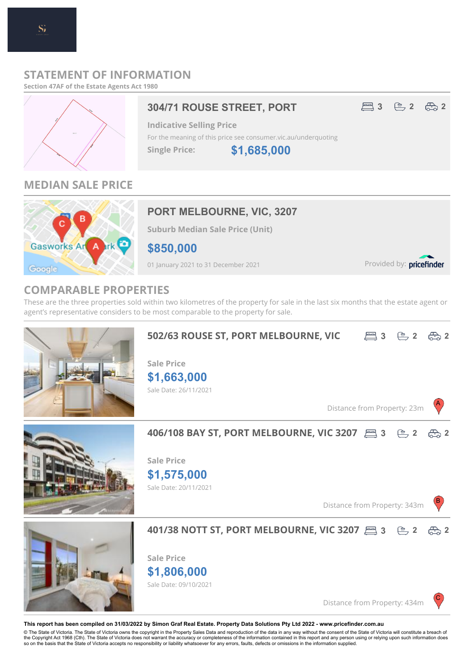## **STATEMENT OF INFORMATION**

**Section 47AF of the Estate Agents Act 1980**



## **MEDIAN SALE PRICE**



## **PORT MELBOURNE, VIC, 3207**

**Suburb Median Sale Price (Unit)**

**\$850,000**

01 January 2021 to 31 December 2021

Provided by: pricefinder

## **COMPARABLE PROPERTIES**

These are the three properties sold within two kilometres of the property for sale in the last six months that the estate agent or agent's representative considers to be most comparable to the property for sale.





#### **This report has been compiled on 31/03/2022 by Simon Graf Real Estate. Property Data Solutions Pty Ltd 2022 - www.pricefinder.com.au**

© The State of Victoria. The State of Victoria owns the copyright in the Property Sales Data and reproduction of the data in any way without the consent of the State of Victoria will constitute a breach of<br>the Copyright Ac so on the basis that the State of Victoria accepts no responsibility or liability whatsoever for any errors, faults, defects or omissions in the information supplied.